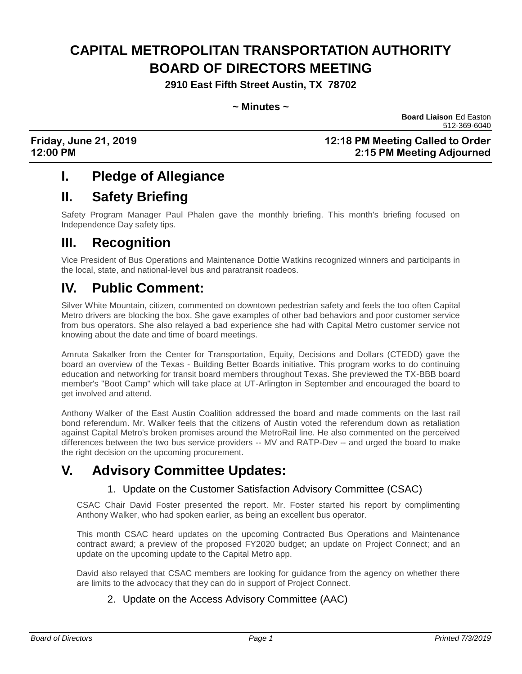# **CAPITAL METROPOLITAN TRANSPORTATION AUTHORITY BOARD OF DIRECTORS MEETING**

**2910 East Fifth Street Austin, TX 78702**

### **~ Minutes ~**

 **Board Liaison** Ed Easton 512-369-6040

### **Friday, June 21, 2019 12:18 PM Meeting Called to Order 12:00 PM 2:15 PM Meeting Adjourned**

# **I. Pledge of Allegiance**

# **II. Safety Briefing**

Safety Program Manager Paul Phalen gave the monthly briefing. This month's briefing focused on Independence Day safety tips.

# **III. Recognition**

Vice President of Bus Operations and Maintenance Dottie Watkins recognized winners and participants in the local, state, and national-level bus and paratransit roadeos.

# **IV. Public Comment:**

Silver White Mountain, citizen, commented on downtown pedestrian safety and feels the too often Capital Metro drivers are blocking the box. She gave examples of other bad behaviors and poor customer service from bus operators. She also relayed a bad experience she had with Capital Metro customer service not knowing about the date and time of board meetings.

Amruta Sakalker from the Center for Transportation, Equity, Decisions and Dollars (CTEDD) gave the board an overview of the Texas - Building Better Boards initiative. This program works to do continuing education and networking for transit board members throughout Texas. She previewed the TX-BBB board member's "Boot Camp" which will take place at UT-Arlington in September and encouraged the board to get involved and attend.

Anthony Walker of the East Austin Coalition addressed the board and made comments on the last rail bond referendum. Mr. Walker feels that the citizens of Austin voted the referendum down as retaliation against Capital Metro's broken promises around the MetroRail line. He also commented on the perceived differences between the two bus service providers -- MV and RATP-Dev -- and urged the board to make the right decision on the upcoming procurement.

# **V. Advisory Committee Updates:**

### 1. Update on the Customer Satisfaction Advisory Committee (CSAC)

CSAC Chair David Foster presented the report. Mr. Foster started his report by complimenting Anthony Walker, who had spoken earlier, as being an excellent bus operator.

This month CSAC heard updates on the upcoming Contracted Bus Operations and Maintenance contract award; a preview of the proposed FY2020 budget; an update on Project Connect; and an update on the upcoming update to the Capital Metro app.

David also relayed that CSAC members are looking for guidance from the agency on whether there are limits to the advocacy that they can do in support of Project Connect.

### 2. Update on the Access Advisory Committee (AAC)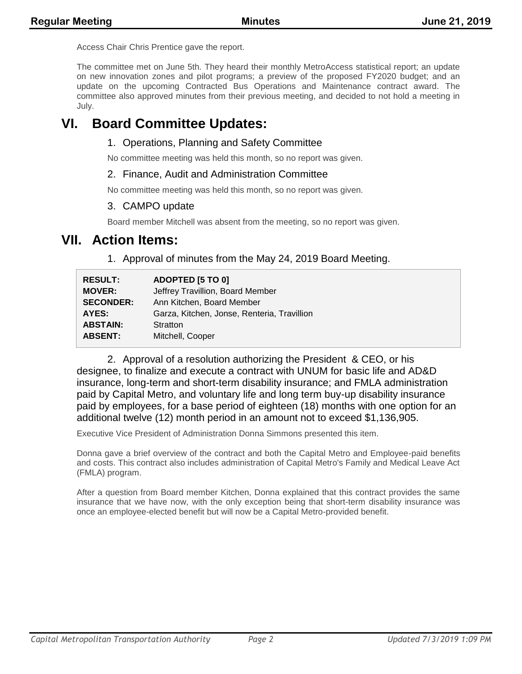Access Chair Chris Prentice gave the report.

The committee met on June 5th. They heard their monthly MetroAccess statistical report; an update on new innovation zones and pilot programs; a preview of the proposed FY2020 budget; and an update on the upcoming Contracted Bus Operations and Maintenance contract award. The committee also approved minutes from their previous meeting, and decided to not hold a meeting in July.

# **VI. Board Committee Updates:**

### 1. Operations, Planning and Safety Committee

No committee meeting was held this month, so no report was given.

### 2. Finance, Audit and Administration Committee

No committee meeting was held this month, so no report was given.

### 3. CAMPO update

Board member Mitchell was absent from the meeting, so no report was given.

### **VII. Action Items:**

1. Approval of minutes from the May 24, 2019 Board Meeting.

| <b>RESULT:</b>   | ADOPTED [5 TO 0]                            |
|------------------|---------------------------------------------|
| <b>MOVER:</b>    | Jeffrey Travillion, Board Member            |
| <b>SECONDER:</b> | Ann Kitchen, Board Member                   |
| AYES:            | Garza, Kitchen, Jonse, Renteria, Travillion |
| <b>ABSTAIN:</b>  | Stratton                                    |
| <b>ABSENT:</b>   | Mitchell, Cooper                            |

2. Approval of a resolution authorizing the President & CEO, or his designee, to finalize and execute a contract with UNUM for basic life and AD&D insurance, long-term and short-term disability insurance; and FMLA administration paid by Capital Metro, and voluntary life and long term buy-up disability insurance paid by employees, for a base period of eighteen (18) months with one option for an additional twelve (12) month period in an amount not to exceed \$1,136,905.

Executive Vice President of Administration Donna Simmons presented this item.

Donna gave a brief overview of the contract and both the Capital Metro and Employee-paid benefits and costs. This contract also includes administration of Capital Metro's Family and Medical Leave Act (FMLA) program.

After a question from Board member Kitchen, Donna explained that this contract provides the same insurance that we have now, with the only exception being that short-term disability insurance was once an employee-elected benefit but will now be a Capital Metro-provided benefit.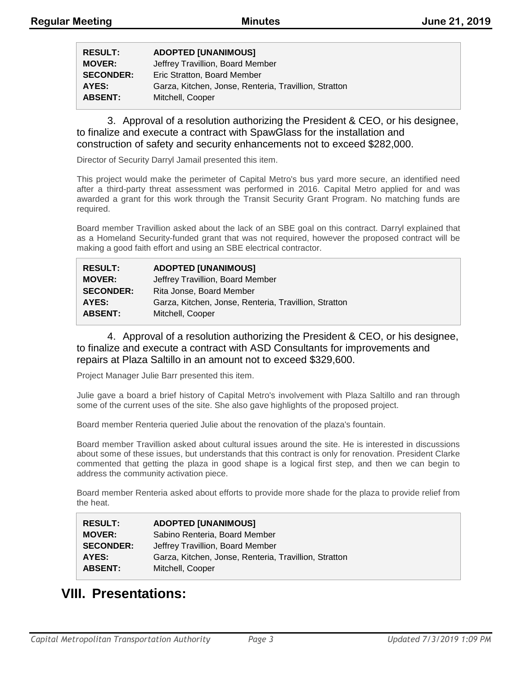| <b>RESULT:</b>   | <b>ADOPTED [UNANIMOUS]</b>                            |
|------------------|-------------------------------------------------------|
| <b>MOVER:</b>    | Jeffrey Travillion, Board Member                      |
| <b>SECONDER:</b> | Eric Stratton, Board Member                           |
| AYES:            | Garza, Kitchen, Jonse, Renteria, Travillion, Stratton |
| <b>ABSENT:</b>   | Mitchell, Cooper                                      |

3. Approval of a resolution authorizing the President & CEO, or his designee, to finalize and execute a contract with SpawGlass for the installation and construction of safety and security enhancements not to exceed \$282,000.

Director of Security Darryl Jamail presented this item.

This project would make the perimeter of Capital Metro's bus yard more secure, an identified need after a third-party threat assessment was performed in 2016. Capital Metro applied for and was awarded a grant for this work through the Transit Security Grant Program. No matching funds are required.

Board member Travillion asked about the lack of an SBE goal on this contract. Darryl explained that as a Homeland Security-funded grant that was not required, however the proposed contract will be making a good faith effort and using an SBE electrical contractor.

| <b>RESULT:</b>   | <b>ADOPTED [UNANIMOUS]</b>                            |
|------------------|-------------------------------------------------------|
| <b>MOVER:</b>    | Jeffrey Travillion, Board Member                      |
| <b>SECONDER:</b> | Rita Jonse, Board Member                              |
| AYES:            | Garza, Kitchen, Jonse, Renteria, Travillion, Stratton |
| <b>ABSENT:</b>   | Mitchell, Cooper                                      |

4. Approval of a resolution authorizing the President & CEO, or his designee, to finalize and execute a contract with ASD Consultants for improvements and repairs at Plaza Saltillo in an amount not to exceed \$329,600.

Project Manager Julie Barr presented this item.

Julie gave a board a brief history of Capital Metro's involvement with Plaza Saltillo and ran through some of the current uses of the site. She also gave highlights of the proposed project.

Board member Renteria queried Julie about the renovation of the plaza's fountain.

Board member Travillion asked about cultural issues around the site. He is interested in discussions about some of these issues, but understands that this contract is only for renovation. President Clarke commented that getting the plaza in good shape is a logical first step, and then we can begin to address the community activation piece.

Board member Renteria asked about efforts to provide more shade for the plaza to provide relief from the heat.

| <b>RESULT:</b>   | <b>ADOPTED [UNANIMOUS]</b>                            |
|------------------|-------------------------------------------------------|
| <b>MOVER:</b>    | Sabino Renteria, Board Member                         |
| <b>SECONDER:</b> | Jeffrey Travillion, Board Member                      |
| AYES:            | Garza, Kitchen, Jonse, Renteria, Travillion, Stratton |
| <b>ABSENT:</b>   | Mitchell, Cooper                                      |

## **VIII. Presentations:**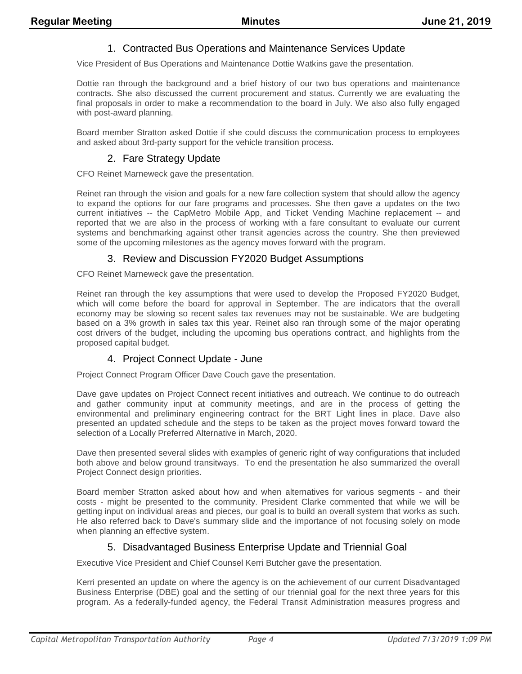### 1. Contracted Bus Operations and Maintenance Services Update

Vice President of Bus Operations and Maintenance Dottie Watkins gave the presentation.

Dottie ran through the background and a brief history of our two bus operations and maintenance contracts. She also discussed the current procurement and status. Currently we are evaluating the final proposals in order to make a recommendation to the board in July. We also also fully engaged with post-award planning.

Board member Stratton asked Dottie if she could discuss the communication process to employees and asked about 3rd-party support for the vehicle transition process.

### 2. Fare Strategy Update

CFO Reinet Marneweck gave the presentation.

Reinet ran through the vision and goals for a new fare collection system that should allow the agency to expand the options for our fare programs and processes. She then gave a updates on the two current initiatives -- the CapMetro Mobile App, and Ticket Vending Machine replacement -- and reported that we are also in the process of working with a fare consultant to evaluate our current systems and benchmarking against other transit agencies across the country. She then previewed some of the upcoming milestones as the agency moves forward with the program.

#### 3. Review and Discussion FY2020 Budget Assumptions

CFO Reinet Marneweck gave the presentation.

Reinet ran through the key assumptions that were used to develop the Proposed FY2020 Budget, which will come before the board for approval in September. The are indicators that the overall economy may be slowing so recent sales tax revenues may not be sustainable. We are budgeting based on a 3% growth in sales tax this year. Reinet also ran through some of the major operating cost drivers of the budget, including the upcoming bus operations contract, and highlights from the proposed capital budget.

### 4. Project Connect Update - June

Project Connect Program Officer Dave Couch gave the presentation.

Dave gave updates on Project Connect recent initiatives and outreach. We continue to do outreach and gather community input at community meetings, and are in the process of getting the environmental and preliminary engineering contract for the BRT Light lines in place. Dave also presented an updated schedule and the steps to be taken as the project moves forward toward the selection of a Locally Preferred Alternative in March, 2020.

Dave then presented several slides with examples of generic right of way configurations that included both above and below ground transitways. To end the presentation he also summarized the overall Project Connect design priorities.

Board member Stratton asked about how and when alternatives for various segments - and their costs - might be presented to the community. President Clarke commented that while we will be getting input on individual areas and pieces, our goal is to build an overall system that works as such. He also referred back to Dave's summary slide and the importance of not focusing solely on mode when planning an effective system.

### 5. Disadvantaged Business Enterprise Update and Triennial Goal

Executive Vice President and Chief Counsel Kerri Butcher gave the presentation.

Kerri presented an update on where the agency is on the achievement of our current Disadvantaged Business Enterprise (DBE) goal and the setting of our triennial goal for the next three years for this program. As a federally-funded agency, the Federal Transit Administration measures progress and